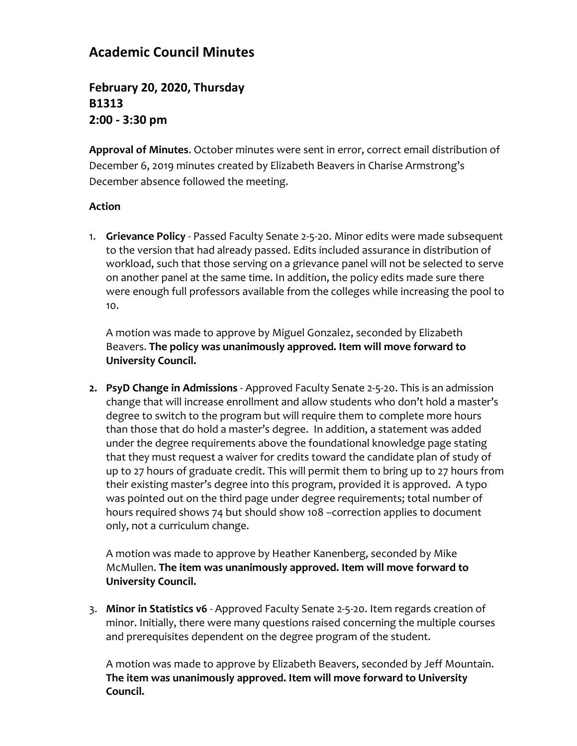## **Academic Council Minutes**

**February 20, 2020, Thursday B1313 2:00 - 3:30 pm**

**Approval of Minutes**. October minutes were sent in error, correct email distribution of December 6, 2019 minutes created by Elizabeth Beavers in Charise Armstrong's December absence followed the meeting.

## **Action**

1. **Grievance Policy** - Passed Faculty Senate 2-5-20. Minor edits were made subsequent to the version that had already passed. Edits included assurance in distribution of workload, such that those serving on a grievance panel will not be selected to serve on another panel at the same time. In addition, the policy edits made sure there were enough full professors available from the colleges while increasing the pool to 10.

A motion was made to approve by Miguel Gonzalez, seconded by Elizabeth Beavers. **The policy was unanimously approved. Item will move forward to University Council.**

**2. PsyD Change in Admissions** - Approved Faculty Senate 2-5-20. This is an admission change that will increase enrollment and allow students who don't hold a master's degree to switch to the program but will require them to complete more hours than those that do hold a master's degree. In addition, a statement was added under the degree requirements above the foundational knowledge page stating that they must request a waiver for credits toward the candidate plan of study of up to 27 hours of graduate credit. This will permit them to bring up to 27 hours from their existing master's degree into this program, provided it is approved. A typo was pointed out on the third page under degree requirements; total number of hours required shows 74 but should show 108 –correction applies to document only, not a curriculum change.

A motion was made to approve by Heather Kanenberg, seconded by Mike McMullen. **The item was unanimously approved. Item will move forward to University Council.**

3. **Minor in Statistics v6** - Approved Faculty Senate 2-5-20. Item regards creation of minor. Initially, there were many questions raised concerning the multiple courses and prerequisites dependent on the degree program of the student.

A motion was made to approve by Elizabeth Beavers, seconded by Jeff Mountain. **The item was unanimously approved. Item will move forward to University Council.**